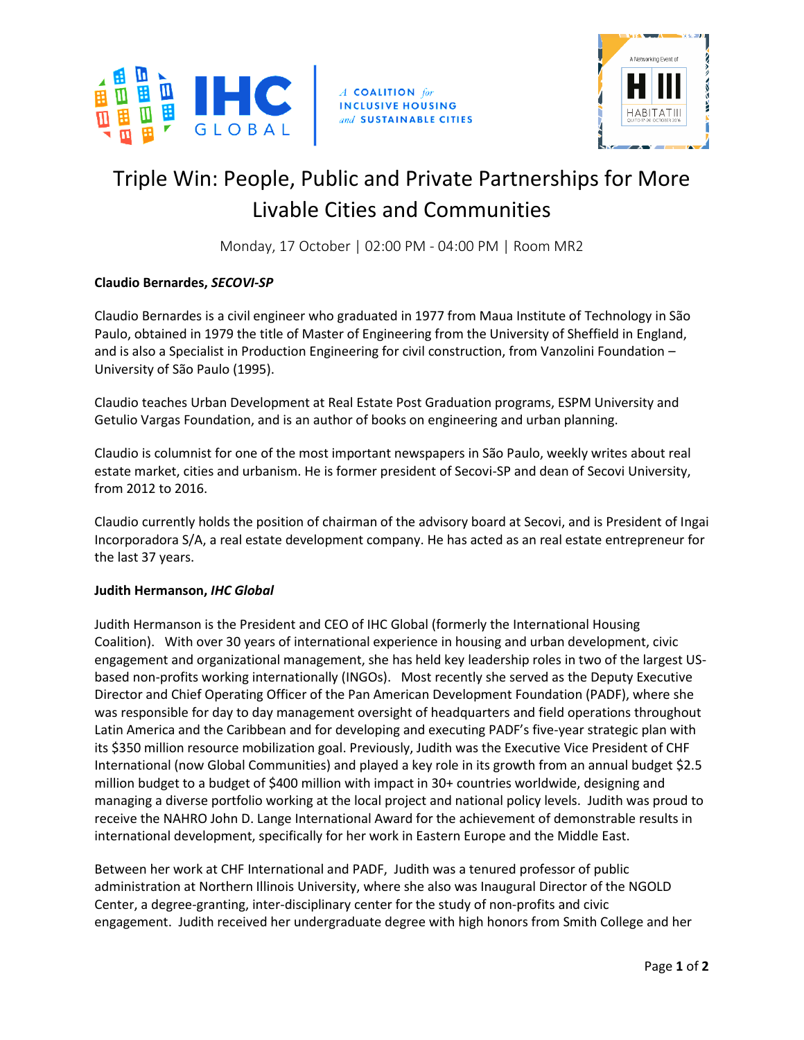

A COALITION for **INCLUSIVE HOUSING** and SUSTAINABLE CITIES



# Triple Win: People, Public and Private Partnerships for More Livable Cities and Communities

Monday, 17 October | 02:00 PM - 04:00 PM | Room MR2

## **Claudio Bernardes,** *SECOVI-SP*

Claudio Bernardes is a civil engineer who graduated in 1977 from Maua Institute of Technology in São Paulo, obtained in 1979 the title of Master of Engineering from the University of Sheffield in England, and is also a Specialist in Production Engineering for civil construction, from Vanzolini Foundation – University of São Paulo (1995).

Claudio teaches Urban Development at Real Estate Post Graduation programs, ESPM University and Getulio Vargas Foundation, and is an author of books on engineering and urban planning.

Claudio is columnist for one of the most important newspapers in São Paulo, weekly writes about real estate market, cities and urbanism. He is former president of Secovi-SP and dean of Secovi University, from 2012 to 2016.

Claudio currently holds the position of chairman of the advisory board at Secovi, and is President of Ingai Incorporadora S/A, a real estate development company. He has acted as an real estate entrepreneur for the last 37 years.

#### **Judith Hermanson,** *IHC Global*

Judith Hermanson is the President and CEO of IHC Global (formerly the International Housing Coalition). With over 30 years of international experience in housing and urban development, civic engagement and organizational management, she has held key leadership roles in two of the largest USbased non-profits working internationally (INGOs). Most recently she served as the Deputy Executive Director and Chief Operating Officer of the Pan American Development Foundation (PADF), where she was responsible for day to day management oversight of headquarters and field operations throughout Latin America and the Caribbean and for developing and executing PADF's five-year strategic plan with its \$350 million resource mobilization goal. Previously, Judith was the Executive Vice President of CHF International (now Global Communities) and played a key role in its growth from an annual budget \$2.5 million budget to a budget of \$400 million with impact in 30+ countries worldwide, designing and managing a diverse portfolio working at the local project and national policy levels. Judith was proud to receive the NAHRO John D. Lange International Award for the achievement of demonstrable results in international development, specifically for her work in Eastern Europe and the Middle East.

Between her work at CHF International and PADF, Judith was a tenured professor of public administration at Northern Illinois University, where she also was Inaugural Director of the NGOLD Center, a degree-granting, inter-disciplinary center for the study of non-profits and civic engagement. Judith received her undergraduate degree with high honors from Smith College and her